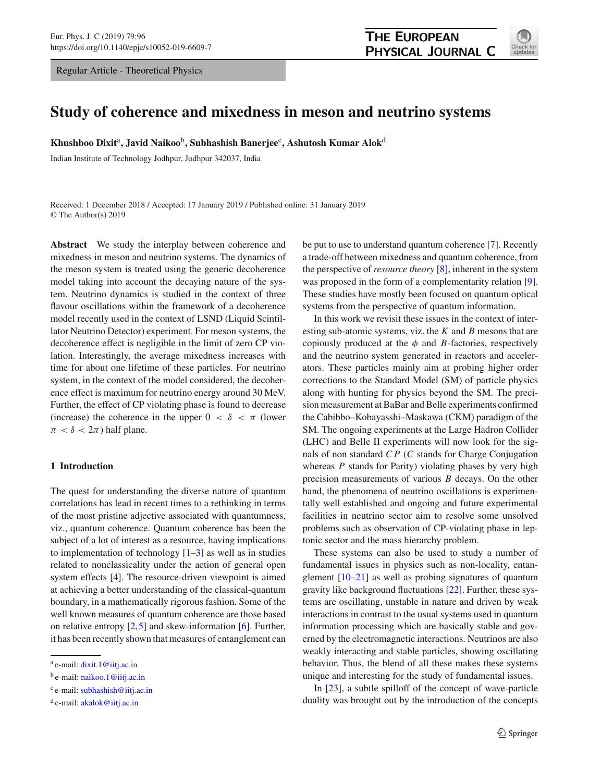Regular Article - Theoretical Physics



# **Study of coherence and mixedness in meson and neutrino systems**

**Khushboo Dixit**<sup>a</sup> **, Javid Naikoo**<sup>b</sup> **, Subhashish Banerjee**<sup>c</sup> **, Ashutosh Kumar Alok**<sup>d</sup>

Indian Institute of Technology Jodhpur, Jodhpur 342037, India

Received: 1 December 2018 / Accepted: 17 January 2019 / Published online: 31 January 2019 © The Author(s) 2019

**Abstract** We study the interplay between coherence and mixedness in meson and neutrino systems. The dynamics of the meson system is treated using the generic decoherence model taking into account the decaying nature of the system. Neutrino dynamics is studied in the context of three flavour oscillations within the framework of a decoherence model recently used in the context of LSND (Liquid Scintillator Neutrino Detector) experiment. For meson systems, the decoherence effect is negligible in the limit of zero CP violation. Interestingly, the average mixedness increases with time for about one lifetime of these particles. For neutrino system, in the context of the model considered, the decoherence effect is maximum for neutrino energy around 30 MeV. Further, the effect of CP violating phase is found to decrease (increase) the coherence in the upper  $0 < \delta < \pi$  (lower  $\pi < \delta < 2\pi$ ) half plane.

# **1 Introduction**

The quest for understanding the diverse nature of quantum correlations has lead in recent times to a rethinking in terms of the most pristine adjective associated with quantumness, viz., quantum coherence. Quantum coherence has been the subject of a lot of interest as a resource, having implications to implementation of technology  $[1-3]$  as well as in studies related to nonclassicality under the action of general open system effects [\[4\]](#page-5-2). The resource-driven viewpoint is aimed at achieving a better understanding of the classical-quantum boundary, in a mathematically rigorous fashion. Some of the well known measures of quantum coherence are those based on relative entropy  $[2,5]$  $[2,5]$  $[2,5]$  and skew-information  $[6]$ . Further, it has been recently shown that measures of entanglement can be put to use to understand quantum coherence [\[7\]](#page-5-6). Recently a trade-off between mixedness and quantum coherence, from the perspective of *resource theory* [\[8\]](#page-5-7), inherent in the system was proposed in the form of a complementarity relation [\[9](#page-5-8)]. These studies have mostly been focused on quantum optical systems from the perspective of quantum information.

In this work we revisit these issues in the context of interesting sub-atomic systems, viz. the *K* and *B* mesons that are copiously produced at the  $\phi$  and *B*-factories, respectively and the neutrino system generated in reactors and accelerators. These particles mainly aim at probing higher order corrections to the Standard Model (SM) of particle physics along with hunting for physics beyond the SM. The precision measurement at BaBar and Belle experiments confirmed the Cabibbo–Kobayasshi–Maskawa (CKM) paradigm of the SM. The ongoing experiments at the Large Hadron Collider (LHC) and Belle II experiments will now look for the signals of non standard *C P* (*C* stands for Charge Conjugation whereas *P* stands for Parity) violating phases by very high precision measurements of various *B* decays. On the other hand, the phenomena of neutrino oscillations is experimentally well established and ongoing and future experimental facilities in neutrino sector aim to resolve some unsolved problems such as observation of CP-violating phase in leptonic sector and the mass hierarchy problem.

These systems can also be used to study a number of fundamental issues in physics such as non-locality, entanglement  $[10-21]$  as well as probing signatures of quantum gravity like background fluctuations [\[22](#page-5-11)]. Further, these systems are oscillating, unstable in nature and driven by weak interactions in contrast to the usual systems used in quantum information processing which are basically stable and governed by the electromagnetic interactions. Neutrinos are also weakly interacting and stable particles, showing oscillating behavior. Thus, the blend of all these makes these systems unique and interesting for the study of fundamental issues.

In [\[23](#page-5-12)], a subtle spilloff of the concept of wave-particle duality was brought out by the introduction of the concepts

<sup>&</sup>lt;sup>a</sup> e-mail: [dixit.1@iitj.ac.in](mailto:dixit.1@iitj.ac.in)

<sup>&</sup>lt;sup>b</sup> e-mail: [naikoo.1@iitj.ac.in](mailto:naikoo.1@iitj.ac.in)

<sup>&</sup>lt;sup>c</sup> e-mail: [subhashish@iitj.ac.in](mailto:subhashish@iitj.ac.in)

<sup>&</sup>lt;sup>d</sup> e-mail: [akalok@iitj.ac.in](mailto:akalok@iitj.ac.in)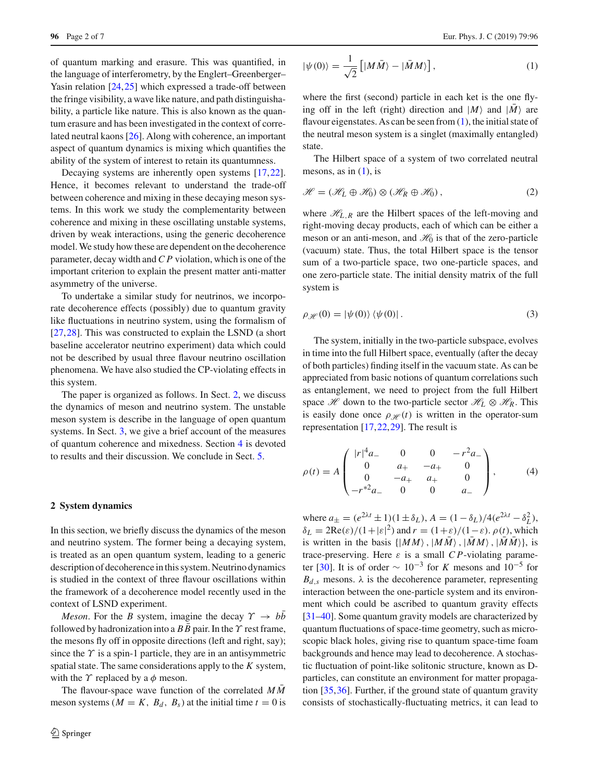of quantum marking and erasure. This was quantified, in the language of interferometry, by the Englert–Greenberger– Yasin relation [\[24,](#page-5-13)[25\]](#page-5-14) which expressed a trade-off between the fringe visibility, a wave like nature, and path distinguishability, a particle like nature. This is also known as the quantum erasure and has been investigated in the context of correlated neutral kaons [\[26](#page-5-15)]. Along with coherence, an important aspect of quantum dynamics is mixing which quantifies the ability of the system of interest to retain its quantumness.

Decaying systems are inherently open systems [\[17](#page-5-16)[,22](#page-5-11)]. Hence, it becomes relevant to understand the trade-off between coherence and mixing in these decaying meson systems. In this work we study the complementarity between coherence and mixing in these oscillating unstable systems, driven by weak interactions, using the generic decoherence model. We study how these are dependent on the decoherence parameter, decay width and *C P* violation, which is one of the important criterion to explain the present matter anti-matter asymmetry of the universe.

To undertake a similar study for neutrinos, we incorporate decoherence effects (possibly) due to quantum gravity like fluctuations in neutrino system, using the formalism of [\[27](#page-5-17),[28\]](#page-5-18). This was constructed to explain the LSND (a short baseline accelerator neutrino experiment) data which could not be described by usual three flavour neutrino oscillation phenomena. We have also studied the CP-violating effects in this system.

The paper is organized as follows. In Sect. [2,](#page-1-0) we discuss the dynamics of meson and neutrino system. The unstable meson system is describe in the language of open quantum systems. In Sect.  $3$ , we give a brief account of the measures of quantum coherence and mixedness. Section [4](#page-3-0) is devoted to results and their discussion. We conclude in Sect. [5.](#page-5-19)

## <span id="page-1-0"></span>**2 System dynamics**

In this section, we briefly discuss the dynamics of the meson and neutrino system. The former being a decaying system, is treated as an open quantum system, leading to a generic description of decoherence in this system. Neutrino dynamics is studied in the context of three flavour oscillations within the framework of a decoherence model recently used in the context of LSND experiment.

*Meson*. For the *B* system, imagine the decay  $\gamma \rightarrow b\bar{b}$ followed by hadronization into a  $BB$  pair. In the  $\gamma$  rest frame, the mesons fly off in opposite directions (left and right, say); since the  $\gamma$  is a spin-1 particle, they are in an antisymmetric spatial state. The same considerations apply to the *K* system, with the  $\gamma$  replaced by a  $\phi$  meson.

The flavour-space wave function of the correlated  $MM$ meson systems ( $M = K$ ,  $B_d$ ,  $B_s$ ) at the initial time  $t = 0$  is

$$
|\psi(0)\rangle = \frac{1}{\sqrt{2}} \left[ |M\bar{M}\rangle - |\bar{M}M\rangle \right],\tag{1}
$$

where the first (second) particle in each ket is the one flying off in the left (right) direction and  $|M\rangle$  and  $|\overline{M}\rangle$  are flavour eigenstates. As can be seen from [\(1\)](#page-1-1), the initial state of the neutral meson system is a singlet (maximally entangled) state.

The Hilbert space of a system of two correlated neutral mesons, as in  $(1)$ , is

$$
\mathcal{H} = (\mathcal{H}_L \oplus \mathcal{H}_0) \otimes (\mathcal{H}_R \oplus \mathcal{H}_0), \qquad (2)
$$

where  $\mathcal{H}_{L,R}$  are the Hilbert spaces of the left-moving and right-moving decay products, each of which can be either a meson or an anti-meson, and  $\mathcal{H}_0$  is that of the zero-particle (vacuum) state. Thus, the total Hilbert space is the tensor sum of a two-particle space, two one-particle spaces, and one zero-particle state. The initial density matrix of the full system is

$$
\rho_{\mathcal{H}}(0) = |\psi(0)\rangle \langle \psi(0)|. \tag{3}
$$

The system, initially in the two-particle subspace, evolves in time into the full Hilbert space, eventually (after the decay of both particles) finding itself in the vacuum state. As can be appreciated from basic notions of quantum correlations such as entanglement, we need to project from the full Hilbert space  $\mathcal{H}$  down to the two-particle sector  $\mathcal{H}_L \otimes \mathcal{H}_R$ . This is easily done once  $\rho_{\mathcal{H}}(t)$  is written in the operator-sum representation [\[17](#page-5-16),[22,](#page-5-11)[29\]](#page-6-0). The result is

<span id="page-1-2"></span>
$$
\rho(t) = A \begin{pmatrix} |r|^4 a_- & 0 & 0 & -r^2 a_- \\ 0 & a_+ & -a_+ & 0 \\ 0 & -a_+ & a_+ & 0 \\ -r^{*2} a_- & 0 & 0 & a_- \end{pmatrix}, \quad (4)
$$

<span id="page-1-1"></span>where  $a_{\pm} = (e^{2\lambda t} \pm 1)(1 \pm \delta_L)$ ,  $A = (1 - \delta_L)/4(e^{2\lambda t} - \delta_L^2)$ ,  $\delta_L = 2\text{Re}(\varepsilon)/(1+|\varepsilon|^2)$  and  $r = (1+\varepsilon)/(1-\varepsilon)$ .  $\rho(t)$ , which is written in the basis  $\{ | MM \rangle, | M \overline{M} \rangle, | \overline{M} M \rangle, | \overline{M} \overline{M} \rangle \}$ , is trace-preserving. Here  $\varepsilon$  is a small *CP*-violating parame-ter [\[30](#page-6-1)]. It is of order  $\sim 10^{-3}$  for *K* mesons and  $10^{-5}$  for  $B_{d,s}$  mesons.  $\lambda$  is the decoherence parameter, representing interaction between the one-particle system and its environment which could be ascribed to quantum gravity effects [\[31](#page-6-2)[–40](#page-6-3)]. Some quantum gravity models are characterized by quantum fluctuations of space-time geometry, such as microscopic black holes, giving rise to quantum space-time foam backgrounds and hence may lead to decoherence. A stochastic fluctuation of point-like solitonic structure, known as Dparticles, can constitute an environment for matter propagation [\[35](#page-6-4),[36\]](#page-6-5). Further, if the ground state of quantum gravity consists of stochastically-fluctuating metrics, it can lead to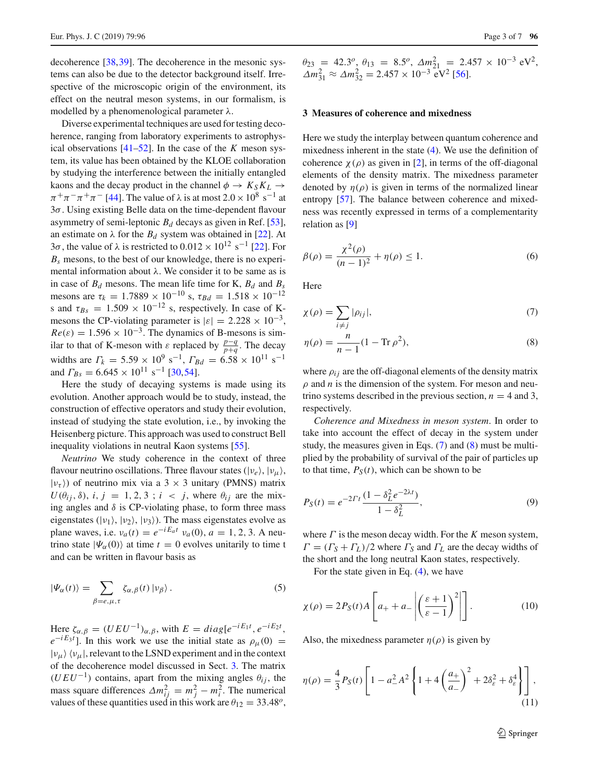decoherence [\[38](#page-6-6)[,39](#page-6-7)]. The decoherence in the mesonic systems can also be due to the detector background itself. Irrespective of the microscopic origin of the environment, its effect on the neutral meson systems, in our formalism, is modelled by a phenomenological parameter  $\lambda$ .

Diverse experimental techniques are used for testing decoherence, ranging from laboratory experiments to astrophysical observations [\[41](#page-6-8)[–52\]](#page-6-9). In the case of the *K* meson system, its value has been obtained by the KLOE collaboration by studying the interference between the initially entangled kaons and the decay product in the channel  $\phi \rightarrow K_S K_L \rightarrow$  $\pi^+\pi^-\pi^+\pi^-$  [\[44\]](#page-6-10). The value of  $\lambda$  is at most  $2.0 \times 10^8 \text{ s}^{-1}$  at 3σ. Using existing Belle data on the time-dependent flavour asymmetry of semi-leptonic  $B_d$  decays as given in Ref. [\[53](#page-6-11)], an estimate on  $\lambda$  for the  $B_d$  system was obtained in [\[22\]](#page-5-11). At 3σ, the value of λ is restricted to  $0.012 \times 10^{12} \text{ s}^{-1}$  [\[22](#page-5-11)]. For  $B_s$  mesons, to the best of our knowledge, there is no experimental information about  $\lambda$ . We consider it to be same as is in case of  $B_d$  mesons. The mean life time for K,  $B_d$  and  $B_s$ mesons are  $\tau_k = 1.7889 \times 10^{-10}$  s,  $\tau_{Bd} = 1.518 \times 10^{-12}$ s and  $\tau_{Bs} = 1.509 \times 10^{-12}$  s, respectively. In case of Kmesons the CP-violating parameter is  $|\varepsilon| = 2.228 \times 10^{-3}$ ,  $Re(\varepsilon) = 1.596 \times 10^{-3}$ . The dynamics of B-mesons is similar to that of K-meson with  $\varepsilon$  replaced by  $\frac{p-q}{p+q}$ . The decay widths are  $\Gamma_k = 5.59 \times 10^9 \text{ s}^{-1}$ ,  $\Gamma_{Bd} = 6.58 \times 10^{11} \text{ s}^{-1}$ and  $\Gamma_{Bs} = 6.645 \times 10^{11} \text{ s}^{-1}$  [\[30](#page-6-1)[,54](#page-6-12)].

Here the study of decaying systems is made using its evolution. Another approach would be to study, instead, the construction of effective operators and study their evolution, instead of studying the state evolution, i.e., by invoking the Heisenberg picture. This approach was used to construct Bell inequality violations in neutral Kaon systems [\[55\]](#page-6-13).

*Neutrino* We study coherence in the context of three flavour neutrino oscillations. Three flavour states  $(|v_e\rangle, |v_u\rangle,$  $|v_\tau\rangle$ ) of neutrino mix via a 3 × 3 unitary (PMNS) matrix  $U(\theta_{ij}, \delta)$ , *i*, *j* = 1, 2, 3 ; *i* < *j*, where  $\theta_{ij}$  are the mixing angles and  $\delta$  is CP-violating phase, to form three mass eigenstates ( $|v_1\rangle$ ,  $|v_2\rangle$ ,  $|v_3\rangle$ ). The mass eigenstates evolve as plane waves, i.e.  $v_a(t) = e^{-iE_a t} v_a(0)$ ,  $a = 1, 2, 3$ . A neutrino state  $|\Psi_{\alpha}(0)\rangle$  at time  $t = 0$  evolves unitarily to time t and can be written in flavour basis as

$$
|\Psi_{\alpha}(t)\rangle = \sum_{\beta=e,\mu,\tau} \zeta_{\alpha,\beta}(t) |v_{\beta}\rangle.
$$
 (5)

Here  $\zeta_{\alpha,\beta} = (UEU^{-1})_{\alpha,\beta}$ , with  $E = diag[e^{-iE_1t}, e^{-iE_2t}]$ ,  $e^{-iE_3t}$ . In this work we use the initial state as  $\rho_\mu(0)$  =  $|v_{\mu}\rangle$   $\langle v_{\mu}|$ , relevant to the LSND experiment and in the context of the decoherence model discussed in Sect. [3.](#page-2-0) The matrix  $(UEU^{-1})$  contains, apart from the mixing angles  $\theta_{ij}$ , the mass square differences  $\Delta m_{ij}^2 = m_j^2 - m_i^2$ . The numerical values of these quantities used in this work are  $\theta_{12} = 33.48^{\circ}$ ,  $\theta_{23} = 42.3^o, \ \theta_{13} = 8.5^o, \ \Delta m_{21}^2 = 2.457 \times 10^{-3} \text{ eV}^2,$  $\Delta m_{31}^2 \approx \Delta m_{32}^2 = 2.457 \times 10^{-3} \text{ eV}^2$  [\[56\]](#page-6-14).

#### <span id="page-2-0"></span>**3 Measures of coherence and mixedness**

Here we study the interplay between quantum coherence and mixedness inherent in the state  $(4)$ . We use the definition of coherence  $\chi(\rho)$  as given in [\[2](#page-5-3)], in terms of the off-diagonal elements of the density matrix. The mixedness parameter denoted by  $\eta(\rho)$  is given in terms of the normalized linear entropy [\[57\]](#page-6-15). The balance between coherence and mixedness was recently expressed in terms of a complementarity relation as [\[9](#page-5-8)]

$$
\beta(\rho) = \frac{\chi^2(\rho)}{(n-1)^2} + \eta(\rho) \le 1.
$$
\n(6)

Here

<span id="page-2-1"></span>
$$
\chi(\rho) = \sum_{i \neq j} |\rho_{ij}|,\tag{7}
$$

<span id="page-2-2"></span>
$$
\eta(\rho) = \frac{n}{n-1} (1 - \text{Tr}\,\rho^2),\tag{8}
$$

where  $\rho_{ij}$  are the off-diagonal elements of the density matrix  $\rho$  and  $n$  is the dimension of the system. For meson and neutrino systems described in the previous section,  $n = 4$  and 3, respectively.

*Coherence and Mixedness in meson system*. In order to take into account the effect of decay in the system under study, the measures given in Eqs. [\(7\)](#page-2-1) and [\(8\)](#page-2-2) must be multiplied by the probability of survival of the pair of particles up to that time,  $P_S(t)$ , which can be shown to be

<span id="page-2-3"></span>
$$
P_S(t) = e^{-2\Gamma t} \frac{(1 - \delta_L^2 e^{-2\lambda t})}{1 - \delta_L^2},\tag{9}
$$

where Γ is the meson decay width. For the *K* meson system,  $\Gamma = (\Gamma_S + \Gamma_L)/2$  where  $\Gamma_S$  and  $\Gamma_L$  are the decay widths of the short and the long neutral Kaon states, respectively.

<span id="page-2-4"></span>For the state given in Eq. [\(4\)](#page-1-2), we have

$$
\chi(\rho) = 2P_S(t)A\left[a_+ + a_-\left|\left(\frac{\varepsilon+1}{\varepsilon-1}\right)^2\right|\right].\tag{10}
$$

<span id="page-2-5"></span>Also, the mixedness parameter  $\eta(\rho)$  is given by

$$
\eta(\rho) = \frac{4}{3} P_S(t) \left[ 1 - a_-^2 A^2 \left\{ 1 + 4 \left( \frac{a_+}{a_-} \right)^2 + 2 \delta_{\varepsilon}^2 + \delta_{\varepsilon}^4 \right\} \right],
$$
\n(11)

<sup>2</sup> Springer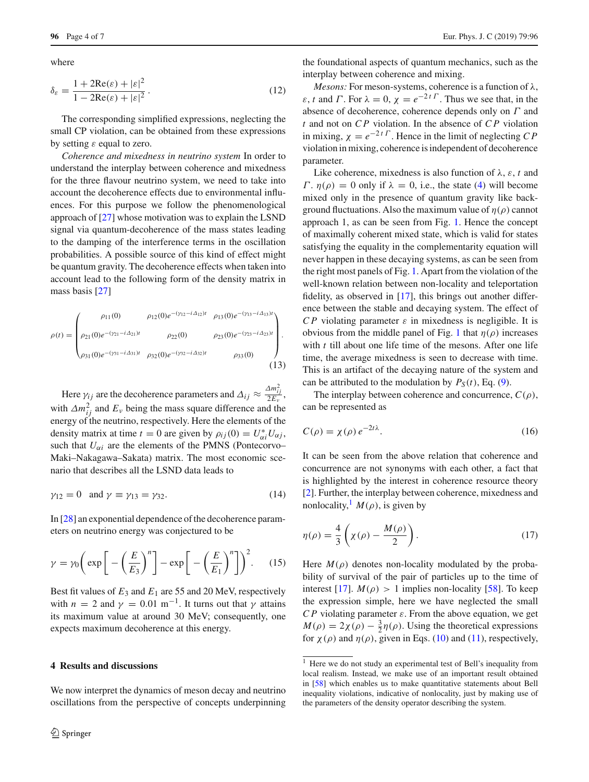where

$$
\delta_{\varepsilon} = \frac{1 + 2\text{Re}(\varepsilon) + |\varepsilon|^2}{1 - 2\text{Re}(\varepsilon) + |\varepsilon|^2}.
$$
\n(12)

The corresponding simplified expressions, neglecting the small CP violation, can be obtained from these expressions by setting  $\varepsilon$  equal to zero.

*Coherence and mixedness in neutrino system* In order to understand the interplay between coherence and mixedness for the three flavour neutrino system, we need to take into account the decoherence effects due to environmental influences. For this purpose we follow the phenomenological approach of [\[27](#page-5-17)] whose motivation was to explain the LSND signal via quantum-decoherence of the mass states leading to the damping of the interference terms in the oscillation probabilities. A possible source of this kind of effect might be quantum gravity. The decoherence effects when taken into account lead to the following form of the density matrix in mass basis [\[27](#page-5-17)]

$$
\rho(t) = \begin{pmatrix} \rho_{11}(0) & \rho_{12}(0)e^{-(\gamma_{12}-i\Delta_{12})t} & \rho_{13}(0)e^{-(\gamma_{13}-i\Delta_{13})t} \\ \rho_{21}(0)e^{-(\gamma_{21}-i\Delta_{21})t} & \rho_{22}(0) & \rho_{23}(0)e^{-(\gamma_{23}-i\Delta_{23})t} \\ \rho_{31}(0)e^{-(\gamma_{31}-i\Delta_{31})t} & \rho_{32}(0)e^{-(\gamma_{32}-i\Delta_{32})t} & \rho_{33}(0) \end{pmatrix} .
$$
\n(13)

Here  $\gamma_{ij}$  are the decoherence parameters and  $\Delta_{ij} \approx \frac{\Delta m_{ij}^2}{2E_v}$ , with  $\Delta m_{ij}^2$  and  $E_\nu$  being the mass square difference and the energy of the neutrino, respectively. Here the elements of the density matrix at time  $t = 0$  are given by  $\rho_{ij}(0) = U_{\alpha i}^* U_{\alpha j}$ , such that  $U_{\alpha i}$  are the elements of the PMNS (Pontecorvo– Maki–Nakagawa–Sakata) matrix. The most economic scenario that describes all the LSND data leads to

$$
\gamma_{12} = 0 \quad \text{and } \gamma \equiv \gamma_{13} = \gamma_{32}.\tag{14}
$$

In [\[28](#page-5-18)] an exponential dependence of the decoherence parameters on neutrino energy was conjectured to be

$$
\gamma = \gamma_0 \left( \exp \left[ -\left( \frac{E}{E_3} \right)^n \right] - \exp \left[ -\left( \frac{E}{E_1} \right)^n \right] \right)^2. \tag{15}
$$

Best fit values of  $E_3$  and  $E_1$  are 55 and 20 MeV, respectively with *n* = 2 and  $\gamma$  = 0.01 m<sup>-1</sup>. It turns out that  $\gamma$  attains its maximum value at around 30 MeV; consequently, one expects maximum decoherence at this energy.

### <span id="page-3-0"></span>**4 Results and discussions**

We now interpret the dynamics of meson decay and neutrino oscillations from the perspective of concepts underpinning

the foundational aspects of quantum mechanics, such as the interplay between coherence and mixing.

*Mesons:* For meson-systems, coherence is a function of λ,  $\varepsilon$ , *t* and  $\Gamma$ . For  $\lambda = 0$ ,  $\chi = e^{-2t\Gamma}$ . Thus we see that, in the absence of decoherence, coherence depends only on  $\Gamma$  and *t* and not on *C P* violation. In the absence of *C P* violation in mixing,  $\chi = e^{-2t\Gamma}$ . Hence in the limit of neglecting *CP* violation in mixing, coherence is independent of decoherence parameter.

Like coherence, mixedness is also function of  $\lambda$ ,  $\varepsilon$ ,  $t$  and Γ.  $η(ρ) = 0$  only if  $λ = 0$ , i.e., the state [\(4\)](#page-1-2) will become mixed only in the presence of quantum gravity like background fluctuations. Also the maximum value of  $\eta(\rho)$  cannot approach 1, as can be seen from Fig. [1.](#page-4-0) Hence the concept of maximally coherent mixed state, which is valid for states satisfying the equality in the complementarity equation will never happen in these decaying systems, as can be seen from the right most panels of Fig. [1.](#page-4-0) Apart from the violation of the well-known relation between non-locality and teleportation fidelity, as observed in [\[17\]](#page-5-16), this brings out another difference between the stable and decaying system. The effect of *CP* violating parameter  $\varepsilon$  in mixedness is negligible. It is obvious from the middle panel of Fig. [1](#page-4-0) that  $\eta(\rho)$  increases with *t* till about one life time of the mesons. After one life time, the average mixedness is seen to decrease with time. This is an artifact of the decaying nature of the system and can be attributed to the modulation by  $P_S(t)$ , Eq. [\(9\)](#page-2-3).

<span id="page-3-3"></span>The interplay between coherence and concurrence,  $C(\rho)$ , can be represented as

$$
C(\rho) = \chi(\rho) e^{-2t\lambda}.
$$
 (16)

It can be seen from the above relation that coherence and concurrence are not synonyms with each other, a fact that is highlighted by the interest in coherence resource theory [\[2](#page-5-3)]. Further, the interplay between coherence, mixedness and nonlocality,<sup>[1](#page-3-1)</sup>  $M(\rho)$ , is given by

<span id="page-3-2"></span>
$$
\eta(\rho) = \frac{4}{3} \left( \chi(\rho) - \frac{M(\rho)}{2} \right). \tag{17}
$$

Here  $M(\rho)$  denotes non-locality modulated by the probability of survival of the pair of particles up to the time of interest [\[17\]](#page-5-16).  $M(\rho) > 1$  implies non-locality [\[58\]](#page-6-16). To keep the expression simple, here we have neglected the small *CP* violating parameter  $\varepsilon$ . From the above equation, we get  $M(\rho) = 2\chi(\rho) - \frac{3}{2}\eta(\rho)$ . Using the theoretical expressions for  $\chi(\rho)$  and  $\eta(\rho)$ , given in Eqs. [\(10\)](#page-2-4) and [\(11\)](#page-2-5), respectively,

<span id="page-3-1"></span><sup>1</sup> Here we do not study an experimental test of Bell's inequality from local realism. Instead, we make use of an important result obtained in [\[58](#page-6-16)] which enables us to make quantitative statements about Bell inequality violations, indicative of nonlocality, just by making use of the parameters of the density operator describing the system.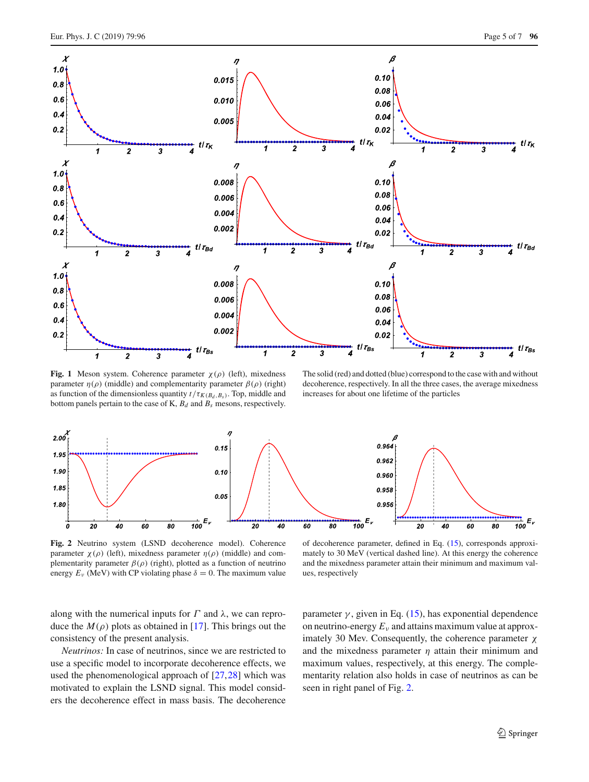

<span id="page-4-0"></span>**Fig. 1** Meson system. Coherence parameter  $\chi(\rho)$  (left), mixedness parameter  $η(ρ)$  (middle) and complementarity parameter  $β(ρ)$  (right) as function of the dimensionless quantity  $t/\tau_{K(B_d, B_s)}$ . Top, middle and bottom panels pertain to the case of K,  $B_d$  and  $B_s$  mesons, respectively.

The solid (red) and dotted (blue) correspond to the case with and without decoherence, respectively. In all the three cases, the average mixedness increases for about one lifetime of the particles



<span id="page-4-1"></span>**Fig. 2** Neutrino system (LSND decoherence model). Coherence parameter  $χ(ρ)$  (left), mixedness parameter  $η(ρ)$  (middle) and complementarity parameter  $\beta(\rho)$  (right), plotted as a function of neutrino energy  $E_v$  (MeV) with CP violating phase  $\delta = 0$ . The maximum value

of decoherence parameter, defined in Eq. [\(15\)](#page-3-2), corresponds approximately to 30 MeV (vertical dashed line). At this energy the coherence and the mixedness parameter attain their minimum and maximum values, respectively

along with the numerical inputs for  $\Gamma$  and  $\lambda$ , we can reproduce the  $M(\rho)$  plots as obtained in [\[17\]](#page-5-16). This brings out the consistency of the present analysis.

*Neutrinos:* In case of neutrinos, since we are restricted to use a specific model to incorporate decoherence effects, we used the phenomenological approach of [\[27](#page-5-17),[28](#page-5-18)] which was motivated to explain the LSND signal. This model considers the decoherence effect in mass basis. The decoherence

parameter  $\gamma$ , given in Eq. [\(15\)](#page-3-2), has exponential dependence on neutrino-energy  $E<sub>v</sub>$  and attains maximum value at approximately 30 Mev. Consequently, the coherence parameter χ and the mixedness parameter  $\eta$  attain their minimum and maximum values, respectively, at this energy. The complementarity relation also holds in case of neutrinos as can be seen in right panel of Fig. [2.](#page-4-1)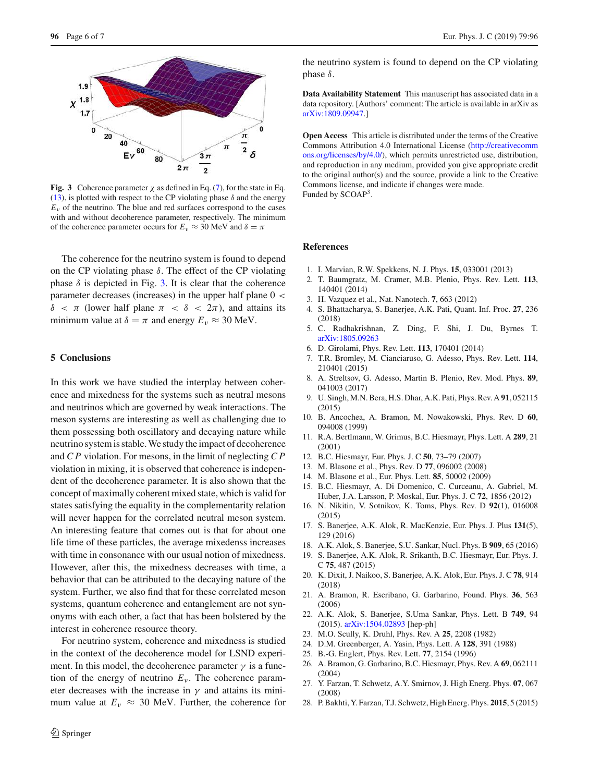

<span id="page-5-20"></span>**Fig. 3** Coherence parameter  $\chi$  as defined in Eq. [\(7\)](#page-2-1), for the state in Eq. [\(13\)](#page-3-3), is plotted with respect to the CP violating phase  $\delta$  and the energy  $E<sub>v</sub>$  of the neutrino. The blue and red surfaces correspond to the cases with and without decoherence parameter, respectively. The minimum of the coherence parameter occurs for  $E_v \approx 30$  MeV and  $\delta = \pi$ 

The coherence for the neutrino system is found to depend on the CP violating phase  $\delta$ . The effect of the CP violating phase  $\delta$  is depicted in Fig. [3.](#page-5-20) It is clear that the coherence parameter decreases (increases) in the upper half plane  $0 <$  $\delta < \pi$  (lower half plane  $\pi < \delta < 2\pi$ ), and attains its minimum value at  $\delta = \pi$  and energy  $E_v \approx 30$  MeV.

## <span id="page-5-19"></span>**5 Conclusions**

In this work we have studied the interplay between coherence and mixedness for the systems such as neutral mesons and neutrinos which are governed by weak interactions. The meson systems are interesting as well as challenging due to them possessing both oscillatory and decaying nature while neutrino system is stable. We study the impact of decoherence and *C P* violation. For mesons, in the limit of neglecting *C P* violation in mixing, it is observed that coherence is independent of the decoherence parameter. It is also shown that the concept of maximally coherent mixed state, which is valid for states satisfying the equality in the complementarity relation will never happen for the correlated neutral meson system. An interesting feature that comes out is that for about one life time of these particles, the average mixedenss increases with time in consonance with our usual notion of mixedness. However, after this, the mixedness decreases with time, a behavior that can be attributed to the decaying nature of the system. Further, we also find that for these correlated meson systems, quantum coherence and entanglement are not synonyms with each other, a fact that has been bolstered by the interest in coherence resource theory.

For neutrino system, coherence and mixedness is studied in the context of the decoherence model for LSND experiment. In this model, the decoherence parameter  $\gamma$  is a function of the energy of neutrino  $E<sub>v</sub>$ . The coherence parameter decreases with the increase in  $\gamma$  and attains its minimum value at  $E_v \approx 30$  MeV. Further, the coherence for

the neutrino system is found to depend on the CP violating phase  $δ$ .

**Data Availability Statement** This manuscript has associated data in a data repository. [Authors' comment: The article is available in arXiv as [arXiv:1809.09947.](http://arxiv.org/abs/1809.09947)]

**Open Access** This article is distributed under the terms of the Creative Commons Attribution 4.0 International License [\(http://creativecomm](http://creativecommons.org/licenses/by/4.0/) [ons.org/licenses/by/4.0/\)](http://creativecommons.org/licenses/by/4.0/), which permits unrestricted use, distribution, and reproduction in any medium, provided you give appropriate credit to the original author(s) and the source, provide a link to the Creative Commons license, and indicate if changes were made. Funded by SCOAP<sup>3</sup>.

## **References**

- <span id="page-5-0"></span>1. I. Marvian, R.W. Spekkens, N. J. Phys. **15**, 033001 (2013)
- <span id="page-5-3"></span>2. T. Baumgratz, M. Cramer, M.B. Plenio, Phys. Rev. Lett. **113**, 140401 (2014)
- <span id="page-5-1"></span>3. H. Vazquez et al., Nat. Nanotech. **7**, 663 (2012)
- <span id="page-5-2"></span>4. S. Bhattacharya, S. Banerjee, A.K. Pati, Quant. Inf. Proc. **27**, 236 (2018)
- <span id="page-5-4"></span>5. C. Radhakrishnan, Z. Ding, F. Shi, J. Du, Byrnes T. [arXiv:1805.09263](http://arxiv.org/abs/1805.09263)
- <span id="page-5-5"></span>6. D. Girolami, Phys. Rev. Lett. **113**, 170401 (2014)
- <span id="page-5-6"></span>7. T.R. Bromley, M. Cianciaruso, G. Adesso, Phys. Rev. Lett. **114**, 210401 (2015)
- <span id="page-5-7"></span>8. A. Streltsov, G. Adesso, Martin B. Plenio, Rev. Mod. Phys. **89**, 041003 (2017)
- <span id="page-5-8"></span>9. U. Singh, M.N. Bera, H.S. Dhar, A.K. Pati, Phys. Rev. A **91**, 052115 (2015)
- <span id="page-5-9"></span>10. B. Ancochea, A. Bramon, M. Nowakowski, Phys. Rev. D **60**, 094008 (1999)
- 11. R.A. Bertlmann, W. Grimus, B.C. Hiesmayr, Phys. Lett. A **289**, 21 (2001)
- 12. B.C. Hiesmayr, Eur. Phys. J. C **50**, 73–79 (2007)
- 13. M. Blasone et al., Phys. Rev. D **77**, 096002 (2008)
- 14. M. Blasone et al., Eur. Phys. Lett. **85**, 50002 (2009)
- 15. B.C. Hiesmayr, A. Di Domenico, C. Curceanu, A. Gabriel, M. Huber, J.A. Larsson, P. Moskal, Eur. Phys. J. C **72**, 1856 (2012)
- 16. N. Nikitin, V. Sotnikov, K. Toms, Phys. Rev. D **92**(1), 016008 (2015)
- <span id="page-5-16"></span>17. S. Banerjee, A.K. Alok, R. MacKenzie, Eur. Phys. J. Plus **131**(5), 129 (2016)
- 18. A.K. Alok, S. Banerjee, S.U. Sankar, Nucl. Phys. B **909**, 65 (2016)
- 19. S. Banerjee, A.K. Alok, R. Srikanth, B.C. Hiesmayr, Eur. Phys. J. C **75**, 487 (2015)
- 20. K. Dixit, J. Naikoo, S. Banerjee, A.K. Alok, Eur. Phys. J. C **78**, 914 (2018)
- <span id="page-5-10"></span>21. A. Bramon, R. Escribano, G. Garbarino, Found. Phys. **36**, 563 (2006)
- <span id="page-5-11"></span>22. A.K. Alok, S. Banerjee, S.Uma Sankar, Phys. Lett. B **749**, 94 (2015). [arXiv:1504.02893](http://arxiv.org/abs/1504.02893) [hep-ph]
- <span id="page-5-12"></span>23. M.O. Scully, K. Druhl, Phys. Rev. A **25**, 2208 (1982)
- <span id="page-5-13"></span>24. D.M. Greenberger, A. Yasin, Phys. Lett. A **128**, 391 (1988)
- <span id="page-5-14"></span>25. B.-G. Englert, Phys. Rev. Lett. **77**, 2154 (1996)
- <span id="page-5-15"></span>26. A. Bramon, G. Garbarino, B.C. Hiesmayr, Phys. Rev. A **69**, 062111 (2004)
- <span id="page-5-17"></span>27. Y. Farzan, T. Schwetz, A.Y. Smirnov, J. High Energ. Phys. **07**, 067 (2008)
- <span id="page-5-18"></span>28. P. Bakhti, Y. Farzan, T.J. Schwetz, High Energ. Phys. **2015**, 5 (2015)